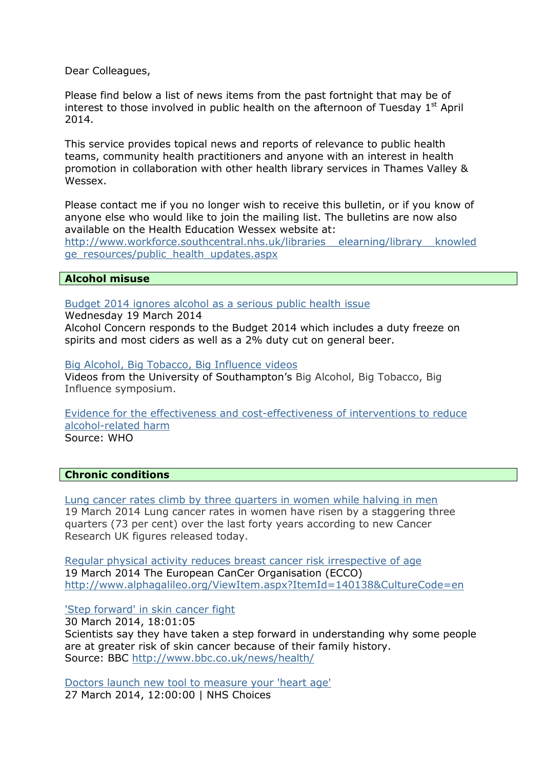Dear Colleagues,

Please find below a list of news items from the past fortnight that may be of interest to those involved in public health on the afternoon of Tuesday  $1<sup>st</sup>$  April 2014.

This service provides topical news and reports of relevance to public health teams, community health practitioners and anyone with an interest in health promotion in collaboration with other health library services in Thames Valley & Wessex.

Please contact me if you no longer wish to receive this bulletin, or if you know of anyone else who would like to join the mailing list. The bulletins are now also available on the Health Education Wessex website at:

[http://www.workforce.southcentral.nhs.uk/libraries\\_\\_elearning/library\\_\\_knowled](http://www.workforce.southcentral.nhs.uk/libraries__elearning/library__knowledge_resources/public_health_updates.aspx) [ge\\_resources/public\\_health\\_updates.aspx](http://www.workforce.southcentral.nhs.uk/libraries__elearning/library__knowledge_resources/public_health_updates.aspx)

# **Alcohol misuse**

[Budget 2014 ignores alcohol as a serious public health issue](http://www.alcoholconcern.org.uk/media-centre/news/budget2014)

Wednesday 19 March 2014

Alcohol Concern responds to the Budget 2014 which includes a duty freeze on spirits and most ciders as well as a 2% duty cut on general beer.

[Big Alcohol, Big Tobacco, Big Influence videos](http://publicpolicy.southampton.ac.uk/big-alcohol-videos/) Videos from the University of Southampton's Big Alcohol, Big Tobacco, Big Influence symposium.

[Evidence for the effectiveness and cost-effectiveness of interventions to reduce](http://www.euro.who.int/__data/assets/pdf_file/0020/43319/E92823.pdf)  [alcohol-related harm](http://www.euro.who.int/__data/assets/pdf_file/0020/43319/E92823.pdf) Source: WHO

**Chronic conditions**

[Lung cancer rates climb by three quarters in women while halving in men](http://www.cancerresearchuk.org/about-us/cancer-news/press-release/lung-cancer-rates-climb-by-three-quarters-in-women-while-halving-in-men) 19 March 2014 Lung cancer rates in women have risen by a staggering three quarters (73 per cent) over the last forty years according to new Cancer Research UK figures released today.

[Regular physical activity reduces breast cancer risk irrespective of age](http://www.alphagalileo.org/ViewItem.aspx?ItemId=140138&CultureCode=en) 19 March 2014 The European CanCer Organisation (ECCO) <http://www.alphagalileo.org/ViewItem.aspx?ItemId=140138&CultureCode=en>

['Step forward' in skin cancer fight](http://www.bbc.co.uk/news/health-26790332#sa-ns_mchannel=rss&ns_source=PublicRSS20-sa)

30 March 2014, 18:01:05 Scientists say they have taken a step forward in understanding why some people are at greater risk of skin cancer because of their family history. Source: BBC <http://www.bbc.co.uk/news/health/>

[Doctors launch new tool to measure your 'heart age'](http://www.nhs.uk/news/2014/03March/Pages/Doctors-launch-new-tool-to-measure-your-heart-age.aspx) 27 March 2014, 12:00:00 | NHS Choices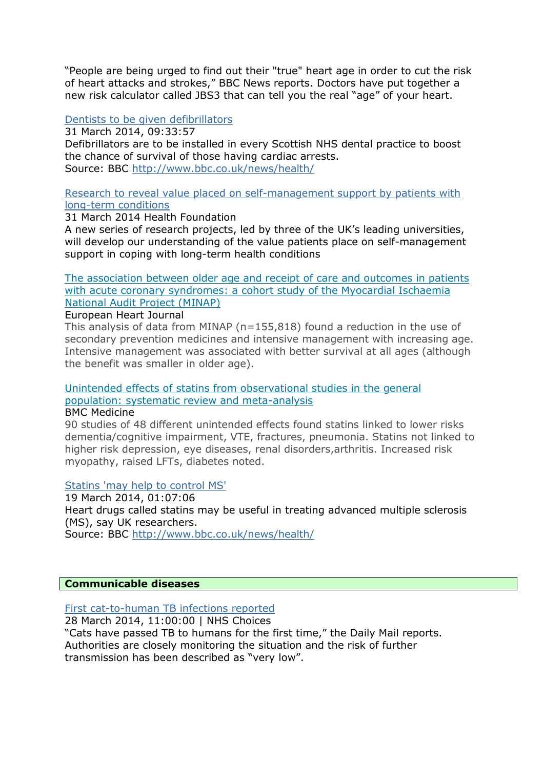"People are being urged to find out their "true" heart age in order to cut the risk of heart attacks and strokes," BBC News reports. Doctors have put together a new risk calculator called JBS3 that can tell you the real "age" of your heart.

# [Dentists to be given defibrillators](http://www.bbc.co.uk/news/uk-scotland-26803331#sa-ns_mchannel=rss&ns_source=PublicRSS20-sa)

31 March 2014, 09:33:57

Defibrillators are to be installed in every Scottish NHS dental practice to boost the chance of survival of those having cardiac arrests. Source: BBC <http://www.bbc.co.uk/news/health/>

[Research to reveal value placed on self-management support by patients with](http://www.health.org.uk/news-and-events/press/research-to-reveal-value-placed-on-self-management-support-by-patients-with-long-term-conditions/)  [long-term conditions](http://www.health.org.uk/news-and-events/press/research-to-reveal-value-placed-on-self-management-support-by-patients-with-long-term-conditions/)

# 31 March 2014 Health Foundation

A new series of research projects, led by three of the UK's leading universities, will develop our understanding of the value patients place on self-management support in coping with long-term health conditions

[The association between older age and receipt of care and outcomes in patients](http://eurheartj.oxfordjournals.org/content/early/2014/03/17/eurheartj.ehu039.abstract)  [with acute coronary syndromes: a cohort study of the Myocardial Ischaemia](http://eurheartj.oxfordjournals.org/content/early/2014/03/17/eurheartj.ehu039.abstract)  [National Audit Project \(MINAP\)](http://eurheartj.oxfordjournals.org/content/early/2014/03/17/eurheartj.ehu039.abstract) 

European Heart Journal

This analysis of data from MINAP (n=155,818) found a reduction in the use of secondary prevention medicines and intensive management with increasing age. Intensive management was associated with better survival at all ages (although the benefit was smaller in older age).

[Unintended effects of statins from observational studies in the general](http://www.biomedcentral.com/1741-7015/12/51)  [population: systematic review and meta-analysis](http://www.biomedcentral.com/1741-7015/12/51)

## BMC Medicine

90 studies of 48 different unintended effects found statins linked to lower risks dementia/cognitive impairment, VTE, fractures, pneumonia. Statins not linked to higher risk depression, eye diseases, renal disorders,arthritis. Increased risk myopathy, raised LFTs, diabetes noted.

[Statins 'may help to control MS'](http://www.bbc.co.uk/news/health-26630025#sa-ns_mchannel=rss&ns_source=PublicRSS20-sa)

19 March 2014, 01:07:06 Heart drugs called statins may be useful in treating advanced multiple sclerosis (MS), say UK researchers.

Source: BBC <http://www.bbc.co.uk/news/health/>

# **Communicable diseases**

[First cat-to-human TB infections reported](http://www.nhs.uk/news/2014/03March/Pages/First-cat-to-humans-TB-infection-spread-reported.aspx) 28 March 2014, 11:00:00 | NHS Choices "Cats have passed TB to humans for the first time," the Daily Mail reports. Authorities are closely monitoring the situation and the risk of further transmission has been described as "very low".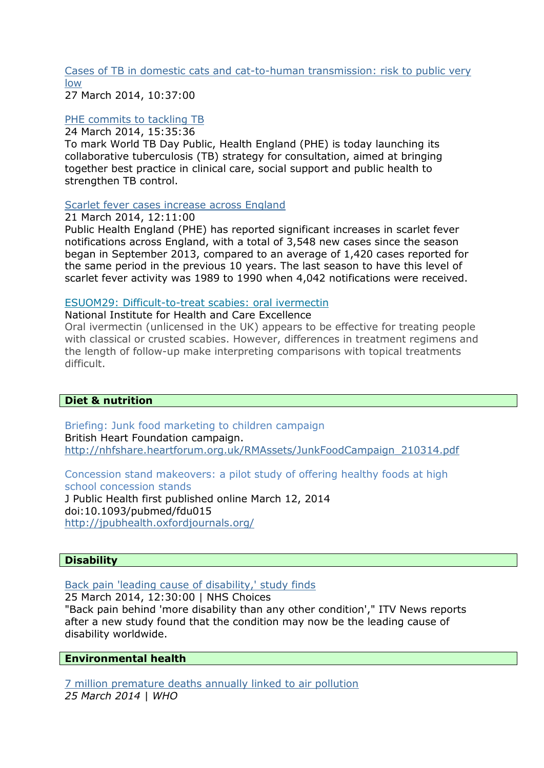[Cases of TB in domestic cats and cat-to-human transmission: risk to public very](https://www.gov.uk/government/news/cases-of-tb-in-domestic-cats-and-cat-to-human-transmission-risk-to-public-very-low)  [low](https://www.gov.uk/government/news/cases-of-tb-in-domestic-cats-and-cat-to-human-transmission-risk-to-public-very-low)

27 March 2014, 10:37:00

## [PHE commits to tackling TB](https://www.gov.uk/government/news/phe-commits-to-tackling-tb)

24 March 2014, 15:35:36

To mark World TB Day Public, Health England (PHE) is today launching its collaborative tuberculosis (TB) strategy for consultation, aimed at bringing together best practice in clinical care, social support and public health to strengthen TB control.

# [Scarlet fever cases increase across England](https://www.gov.uk/government/news/scarlet-fever-cases-increase-across-england)

21 March 2014, 12:11:00

Public Health England (PHE) has reported significant increases in scarlet fever notifications across England, with a total of 3,548 new cases since the season began in September 2013, compared to an average of 1,420 cases reported for the same period in the previous 10 years. The last season to have this level of scarlet fever activity was 1989 to 1990 when 4,042 notifications were received.

## [ESUOM29: Difficult-to-treat scabies: oral ivermectin](http://publications.nice.org.uk/esuom29-difficult-to-treat-scabies-oral-ivermectin-esuom29)

National Institute for Health and Care Excellence

Oral ivermectin (unlicensed in the UK) appears to be effective for treating people with classical or crusted scabies. However, differences in treatment regimens and the length of follow-up make interpreting comparisons with topical treatments difficult.

# **Diet & nutrition**

Briefing: Junk food marketing to children campaign British Heart Foundation campaign. [http://nhfshare.heartforum.org.uk/RMAssets/JunkFoodCampaign\\_210314.pdf](http://nhfshare.heartforum.org.uk/RMAssets/JunkFoodCampaign_210314.pdf)

Concession stand makeovers: a pilot study of offering healthy foods at high school concession stands

J Public Health first published online March 12, 2014 doi:10.1093/pubmed/fdu015 <http://jpubhealth.oxfordjournals.org/>

# **Disability**

[Back pain 'leading cause](http://www.nhs.uk/news/2014/03March/Pages/Back-pain-leading-cause-of-disability-study-finds.aspx) of disability,' study finds

25 March 2014, 12:30:00 | NHS Choices

"Back pain behind 'more disability than any other condition'," ITV News reports after a new study found that the condition may now be the leading cause of disability worldwide.

# **Environmental health**

[7 million premature deaths annually linked to air pollution](http://www.who.int/mediacentre/news/releases/2014/air-pollution/en/) *25 March 2014 | WHO*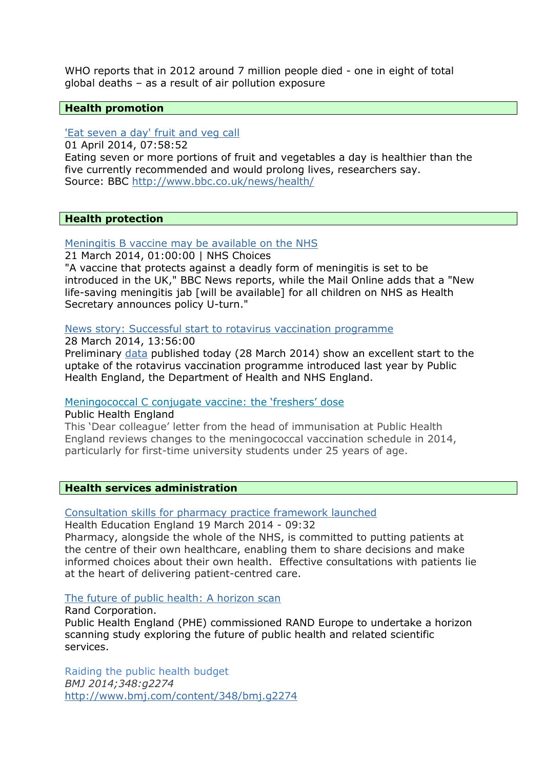WHO reports that in 2012 around 7 million people died - one in eight of total global deaths – as a result of air pollution exposure

### **Health promotion**

## ['Eat seven a day' fruit and veg call](http://www.bbc.co.uk/news/health-26818377#sa-ns_mchannel=rss&ns_source=PublicRSS20-sa)

01 April 2014, 07:58:52 Eating seven or more portions of fruit and vegetables a day is healthier than the five currently recommended and would prolong lives, researchers say. Source: BBC <http://www.bbc.co.uk/news/health/>

#### **Health protection**

## [Meningitis B vaccine may be available on the NHS](http://www.nhs.uk/news/2014/03March/Pages/Meningitis-B-vaccine-may-be-available-on-the-NHS.aspx)

21 March 2014, 01:00:00 | NHS Choices

"A vaccine that protects against a deadly form of meningitis is set to be introduced in the UK," BBC News reports, while the Mail Online adds that a "New life-saving meningitis jab [will be available] for all children on NHS as Health Secretary announces policy U-turn."

#### [News story: Successful start to rotavirus vaccination programme](https://www.gov.uk/government/news/successful-start-to-rotavirus-vaccination-programme)

28 March 2014, 13:56:00

Preliminary [data](http://www.hpa.org.uk/hpr/infections/immunisation.htm#rtvrs) published today (28 March 2014) show an excellent start to the uptake of the rotavirus vaccination programme introduced last year by Public Health England, the Department of Health and NHS England.

## [Meningococcal C conjugate vaccine: the 'freshers' dose](https://www.gov.uk/government/publications/meningococcal-c-conjugate-vaccine-the-freshers-dose)

Public Health England

This 'Dear colleague' letter from the head of immunisation at Public Health England reviews changes to the meningococcal vaccination schedule in 2014, particularly for first-time university students under 25 years of age.

## **Health services administration**

#### [Consultation skills for pharmacy practice framework launched](http://hee.nhs.uk/2014/03/19/consultation-skills-for-pharmacy-practice-framework-launched/)

Health Education England 19 March 2014 - 09:32

Pharmacy, alongside the whole of the NHS, is committed to putting patients at the centre of their own healthcare, enabling them to share decisions and make informed choices about their own health. Effective consultations with patients lie at the heart of delivering patient-centred care.

# [The future of public health: A horizon scan](http://www.rand.org/content/dam/rand/pubs/research_reports/RR400/RR433/RAND_RR433.pdf)

Rand Corporation. Public Health England (PHE) commissioned RAND Europe to undertake a horizon scanning study exploring the future of public health and related scientific services.

Raiding the public health budget *BMJ 2014;348:g2274* <http://www.bmj.com/content/348/bmj.g2274>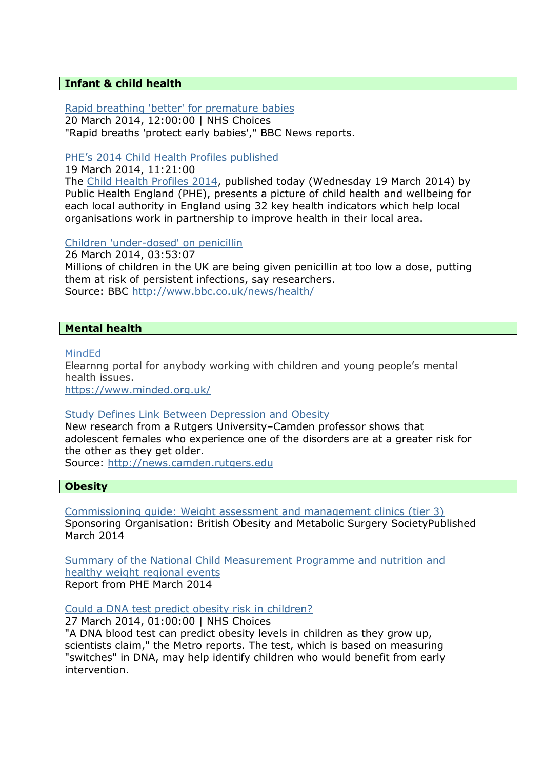## **Infant & child health**

[Rapid breathing 'better' for premature babies](http://www.nhs.uk/news/2014/03March/Pages/Rapid-breathing-better-for-premature-babies.aspx) 20 March 2014, 12:00:00 | NHS Choices "Rapid breaths 'protect early babies'," BBC News reports.

# [PHE's 2014 Child Health Profiles published](https://www.gov.uk/government/news/phes-2014-child-health-profiles-published)

19 March 2014, 11:21:00

The [Child Health Profiles 2014,](http://www.chimat.org.uk/profiles) published today (Wednesday 19 March 2014) by Public Health England (PHE), presents a picture of child health and wellbeing for each local authority in England using 32 key health indicators which help local organisations work in partnership to improve health in their local area.

## [Children 'under-dosed' on penicillin](http://www.bbc.co.uk/news/health-26734218#sa-ns_mchannel=rss&ns_source=PublicRSS20-sa)

26 March 2014, 03:53:07 Millions of children in the UK are being given penicillin at too low a dose, putting them at risk of persistent infections, say researchers. Source: BBC <http://www.bbc.co.uk/news/health/>

# **Mental health**

## MindEd

Elearnng portal for anybody working with children and young people's mental health issues.

<https://www.minded.org.uk/>

## [Study Defines Link Between Depression and Obesity](http://news.camden.rutgers.edu/2014/03/study-defines-link-between-depression-and-obesity-in-adolescent-girls/)

New research from a Rutgers University–Camden professor shows that adolescent females who experience one of the disorders are at a greater risk for the other as they get older.

Source: [http://news.camden.rutgers.edu](http://news.camden.rutgers.edu/)

## **Obesity**

Commissioning guide: [Weight assessment and management clinics \(tier 3\)](http://www.rcseng.ac.uk/healthcare-bodies/docs/weight-assessment-and-management-tier-3-services) Sponsoring Organisation: British Obesity and Metabolic Surgery SocietyPublished March 2014

[Summary of the National Child Measurement Programme and nutrition and](https://www.gov.uk/government/uploads/system/uploads/attachment_data/file/293399/NCMP_summary_of_nutrition_and_healthy_weight_regional_events_2013.pdf)  [healthy weight regional events](https://www.gov.uk/government/uploads/system/uploads/attachment_data/file/293399/NCMP_summary_of_nutrition_and_healthy_weight_regional_events_2013.pdf) Report from PHE March 2014

[Could a DNA test predict obesity risk in children?](http://www.nhs.uk/news/2014/03March/Pages/Could-a-DNA-test-predict-obesity-risk-in-children.aspx)

27 March 2014, 01:00:00 | NHS Choices

"A DNA blood test can predict obesity levels in children as they grow up, scientists claim," the Metro reports. The test, which is based on measuring "switches" in DNA, may help identify children who would benefit from early intervention.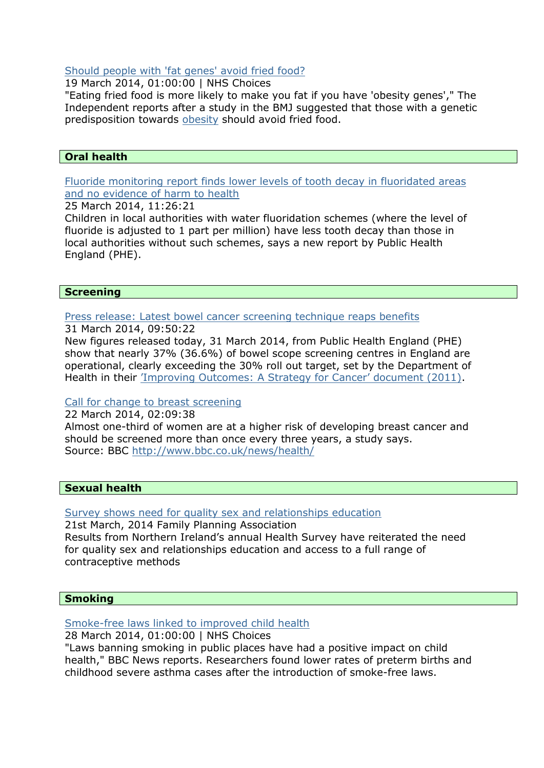### [Should people with 'fat genes' avoid fried food?](http://www.nhs.uk/news/2014/03March/Pages/Should-people-with-fat-genes-avoid-fried-food.aspx)

19 March 2014, 01:00:00 | NHS Choices

"Eating fried food is more likely to make you fat if you have 'obesity genes'," The Independent reports after a study in the BMJ suggested that those with a genetic predisposition towards [obesity](http://www.nhs.uk/conditions/Obesity/Pages/Introduction.aspx) should avoid fried food.

# **Oral health**

[Fluoride monitoring report finds lower levels of tooth decay in fluoridated areas](https://www.gov.uk/government/news/fluoride-monitoring-report-finds-lower-levels-of-tooth-decay-in-fluoridated-areas-and-no-evidence-of-harm-to-health)  [and no evidence of harm to health](https://www.gov.uk/government/news/fluoride-monitoring-report-finds-lower-levels-of-tooth-decay-in-fluoridated-areas-and-no-evidence-of-harm-to-health)

25 March 2014, 11:26:21

Children in local authorities with water fluoridation schemes (where the level of fluoride is adjusted to 1 part per million) have less tooth decay than those in local authorities without such schemes, says a new report by Public Health England (PHE).

## **Screening**

[Press release: Latest bowel cancer screening technique reaps benefits](https://www.gov.uk/government/news/latest-bowel-cancer-screening-technique-reaps-benefits)

31 March 2014, 09:50:22

New figures released today, 31 March 2014, from Public Health England (PHE) show that nearly 37% (36.6%) of bowel scope screening centres in England are operational, clearly exceeding the 30% roll out target, set by the Department of Health in their ['Improving Outcomes: A Strategy for Cancer' document \(2011\)](https://www.gov.uk/government/publications/the-national-cancer-strategy).

## [Call for change to breast screening](http://www.bbc.co.uk/news/health-26681311#sa-ns_mchannel=rss&ns_source=PublicRSS20-sa)

22 March 2014, 02:09:38 Almost one-third of women are at a higher risk of developing breast cancer and should be screened more than once every three years, a study says. Source: BBC <http://www.bbc.co.uk/news/health/>

## **Sexual health**

[Survey shows need for quality sex and relationships education](http://www.fpa.org.uk/news/survey-shows-need-quality-sex-and-relationships-education)

21st March, 2014 Family Planning Association Results from Northern Ireland's annual Health Survey have reiterated the need for quality sex and relationships education and access to a full range of contraceptive methods

## **Smoking**

[Smoke-free laws linked to improved child health](http://www.nhs.uk/news/2014/03March/Pages/Smoke-free%20laws-linked-to-improved-child-health.aspx)

28 March 2014, 01:00:00 | NHS Choices

"Laws banning smoking in public places have had a positive impact on child health," BBC News reports. Researchers found lower rates of preterm births and childhood severe asthma cases after the introduction of smoke-free laws.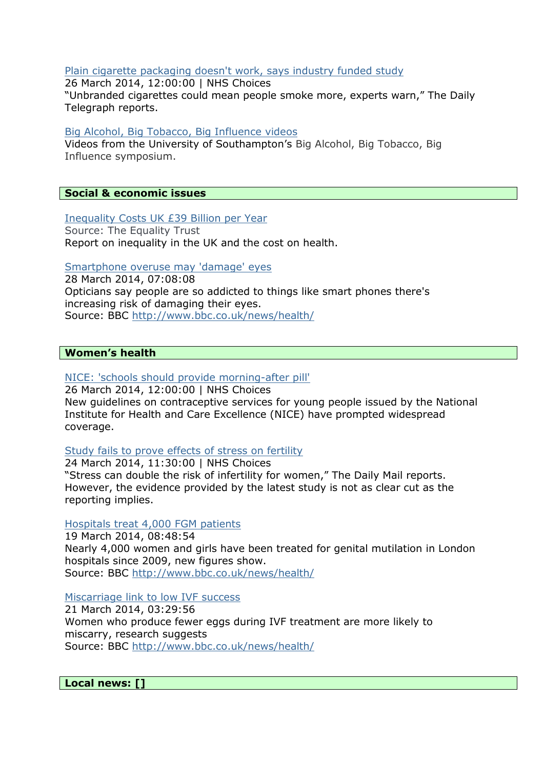#### [Plain cigarette packaging doesn't work, says industry funded study](http://www.nhs.uk/news/2014/03March/Pages/Plain-fags-packs-dont-work-says-industry-funded-study.aspx)

26 March 2014, 12:00:00 | NHS Choices "Unbranded cigarettes could mean people smoke more, experts warn," The Daily Telegraph reports.

### [Big Alcohol, Big Tobacco, Big Influence videos](http://publicpolicy.southampton.ac.uk/big-alcohol-videos/)

Videos from the University of Southampton's Big Alcohol, Big Tobacco, Big Influence symposium.

# **Social & economic issues**

#### [Inequality Costs UK £39 Billion per Year](http://www.equalitytrust.org.uk/news/inequality-costs-uk-%C2%A339-billion-year)

Source: The Equality Trust Report on inequality in the UK and the cost on health.

#### [Smartphone overuse may 'damage' eyes](http://www.bbc.co.uk/newsbeat/26780069#sa-ns_mchannel=rss&ns_source=PublicRSS20-sa)

28 March 2014, 07:08:08 Opticians say people are so addicted to things like smart phones there's increasing risk of damaging their eyes. Source: BBC <http://www.bbc.co.uk/news/health/>

#### **Women's health**

## [NICE: 'schools should provide morning-after pill'](http://www.nhs.uk/news/2014/03March/Pages/Schools-should-provide-morning-after-pills.aspx)

26 March 2014, 12:00:00 | NHS Choices New guidelines on contraceptive services for young people issued by the National Institute for Health and Care Excellence (NICE) have prompted widespread coverage.

#### [Study fails to prove effects of stress on fertility](http://www.nhs.uk/news/2014/03March/Pages/Stresss-effects-on-fertility-studied.aspx)

24 March 2014, 11:30:00 | NHS Choices "Stress can double the risk of infertility for women," The Daily Mail reports. However, the evidence provided by the latest study is not as clear cut as the reporting implies.

#### [Hospitals treat 4,000 FGM patients](http://www.bbc.co.uk/news/uk-england-london-26639542#sa-ns_mchannel=rss&ns_source=PublicRSS20-sa)

19 March 2014, 08:48:54 Nearly 4,000 women and girls have been treated for genital mutilation in London hospitals since 2009, new figures show. Source: BBC <http://www.bbc.co.uk/news/health/>

#### [Miscarriage link to low IVF success](http://www.bbc.co.uk/news/health-26663750#sa-ns_mchannel=rss&ns_source=PublicRSS20-sa)

21 March 2014, 03:29:56 Women who produce fewer eggs during IVF treatment are more likely to miscarry, research suggests Source: BBC <http://www.bbc.co.uk/news/health/>

**Local news: []**